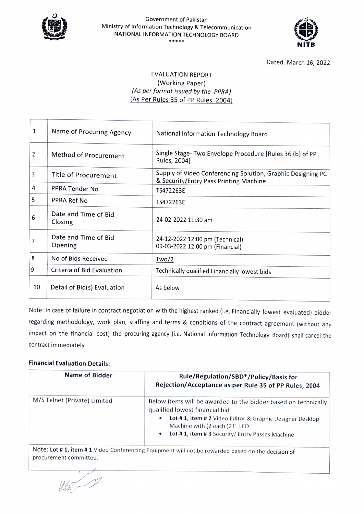

## Government of Pakistan Ministry of Information Technology & Telecommunication NATIONAL INFORMATION TECHNOLOGY BOARD \*\*\*\*\*



Dated. March 16, 2022

## EVALUATION REPORT (Working Paper) (As per format issued by the PPRA) (As Per Rules 35 of PP Rules, 2004)

| $\mathbf 1$ | Name of Procuring Agency        | National Information Technology Board                                                                 |
|-------------|---------------------------------|-------------------------------------------------------------------------------------------------------|
| 2           | Method of Procurement           | Single Stage- Two Envelope Procedure [Rules 36 (b) of PP<br>Rules, 2004]                              |
| 3           | <b>Title of Procurement</b>     | Supply of Video Conferencing Solution, Graphic Designing PC<br>& Security/Entry Pass Printing Machine |
| 4           | PPRA Tender No                  | TS472263E                                                                                             |
| 5           | PPRA Ref No                     | TS472263E                                                                                             |
| 6           | Date and Time of Bid<br>Closing | 24-02-2022 11:30 am                                                                                   |
| 7           | Date and Time of Bid<br>Opening | 24-12-2022 12:00 pm (Technical)<br>09-03-2022 12:00 pm (Financial)                                    |
| 8           | No of Bids Received             | Two/2                                                                                                 |
| 9           | Criteria of Bid Evaluation      | Technically qualified Financially lowest bids                                                         |
| 10          | Detail of Bid(s) Evaluation     | As below                                                                                              |

Note: In case of failure in contract negotiation with the highest ranked (i.e. Financially lowest evaluated) bidder regarding methodology, work plan, stafing and terms & conditions of the contract agreement (without any impact on the financial cost) the procuring agency (i.e. National Information Technology Board) shall cancel the contract immediately

## Financial Evaluation Details:

| <b>Name of Bidder</b>        | Rule/Regulation/SBD*/Policy/Basis for<br>Rejection/Acceptance as per Rule 35 of PP Rules, 2004                                                                                                                                                          |
|------------------------------|---------------------------------------------------------------------------------------------------------------------------------------------------------------------------------------------------------------------------------------------------------|
| M/S Telnet (Private) Limited | Below items will be awarded to the bidder based on technically<br>qualified lowest financial bid<br>Lot #1, item #2 Video Editor & Graphic Designer Desktop<br>o<br>Machine with (2 each)21" LED<br>Lot #1, item #3 Security/ Entry Passes Machine<br>۰ |
|                              | $Note: In # 1 item # 1 Video Conferencing Equiement will not be rounded based out$                                                                                                                                                                      |

Note: Lot # 1, item # 1 Video Conferencing Equipment will not be rewarded based on the decision of procurement committee.